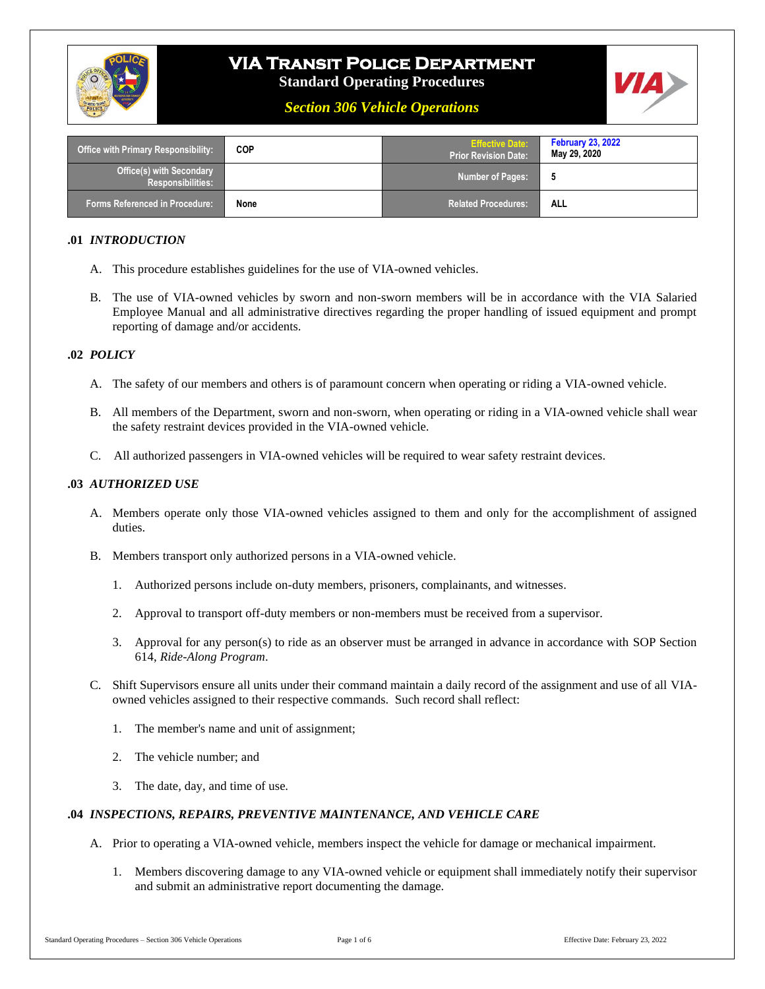

# **VIA Transit Police Department**

**Standard Operating Procedures**



*Section 306 Vehicle Operations*

| <b>Office with Primary Responsibility:</b>                  | <b>COP</b> | <b>Effective Date:</b><br><b>Prior Revision Date:</b> | <b>February 23, 2022</b><br>May 29, 2020 |
|-------------------------------------------------------------|------------|-------------------------------------------------------|------------------------------------------|
| <b>Office(s) with Secondary</b><br><b>Responsibilities:</b> |            | <b>Number of Pages:</b>                               |                                          |
| Forms Referenced in Procedure: ˈ                            | None       | Related Procedures:                                   | ALL                                      |

#### **.01** *INTRODUCTION*

- A. This procedure establishes guidelines for the use of VIA-owned vehicles.
- B. The use of VIA-owned vehicles by sworn and non-sworn members will be in accordance with the VIA Salaried Employee Manual and all administrative directives regarding the proper handling of issued equipment and prompt reporting of damage and/or accidents.

#### **.02** *POLICY*

- A. The safety of our members and others is of paramount concern when operating or riding a VIA-owned vehicle.
- B. All members of the Department, sworn and non-sworn, when operating or riding in a VIA-owned vehicle shall wear the safety restraint devices provided in the VIA-owned vehicle.
- C. All authorized passengers in VIA-owned vehicles will be required to wear safety restraint devices.

#### **.03** *AUTHORIZED USE*

- A. Members operate only those VIA-owned vehicles assigned to them and only for the accomplishment of assigned duties.
- B. Members transport only authorized persons in a VIA-owned vehicle.
	- 1. Authorized persons include on-duty members, prisoners, complainants, and witnesses.
	- 2. Approval to transport off-duty members or non-members must be received from a supervisor.
	- 3. Approval for any person(s) to ride as an observer must be arranged in advance in accordance with SOP Section 614, *Ride-Along Program*.
- C. Shift Supervisors ensure all units under their command maintain a daily record of the assignment and use of all VIAowned vehicles assigned to their respective commands. Such record shall reflect:
	- 1. The member's name and unit of assignment;
	- 2. The vehicle number; and
	- 3. The date, day, and time of use.

#### **.04** *INSPECTIONS, REPAIRS, PREVENTIVE MAINTENANCE, AND VEHICLE CARE*

- A. Prior to operating a VIA-owned vehicle, members inspect the vehicle for damage or mechanical impairment.
	- 1. Members discovering damage to any VIA-owned vehicle or equipment shall immediately notify their supervisor and submit an administrative report documenting the damage.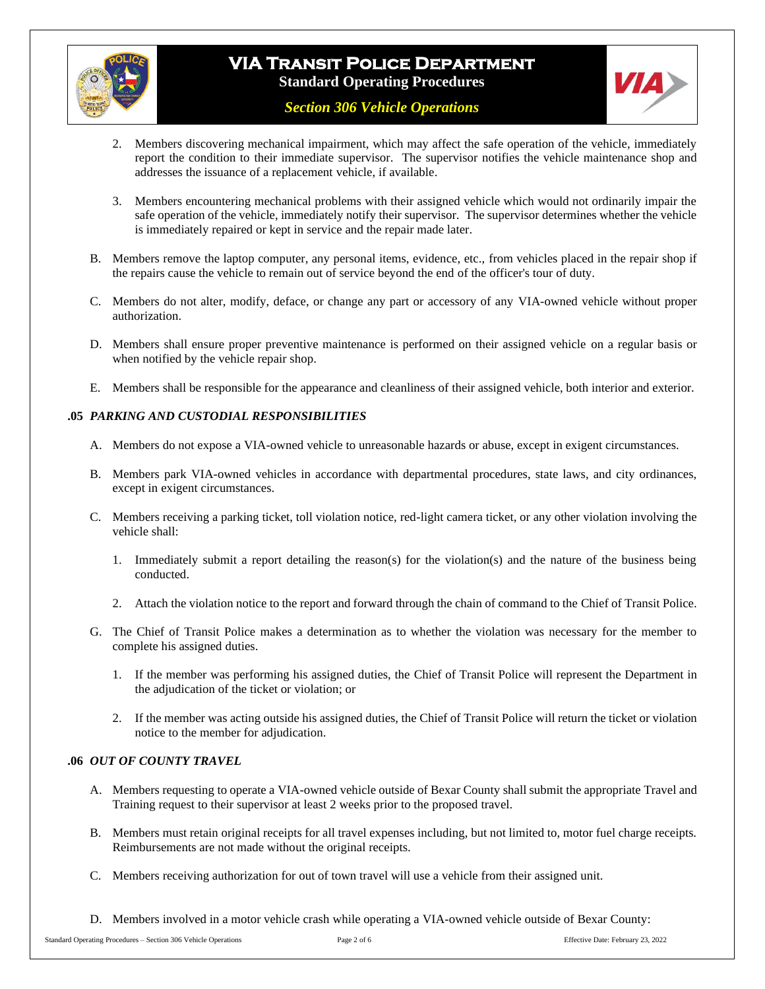

# **VIA Transit Police Department Standard Operating Procedures**



### *Section 306 Vehicle Operations*

- 2. Members discovering mechanical impairment, which may affect the safe operation of the vehicle, immediately report the condition to their immediate supervisor. The supervisor notifies the vehicle maintenance shop and addresses the issuance of a replacement vehicle, if available.
- 3. Members encountering mechanical problems with their assigned vehicle which would not ordinarily impair the safe operation of the vehicle, immediately notify their supervisor. The supervisor determines whether the vehicle is immediately repaired or kept in service and the repair made later.
- B. Members remove the laptop computer, any personal items, evidence, etc., from vehicles placed in the repair shop if the repairs cause the vehicle to remain out of service beyond the end of the officer's tour of duty.
- C. Members do not alter, modify, deface, or change any part or accessory of any VIA-owned vehicle without proper authorization.
- D. Members shall ensure proper preventive maintenance is performed on their assigned vehicle on a regular basis or when notified by the vehicle repair shop.
- E. Members shall be responsible for the appearance and cleanliness of their assigned vehicle, both interior and exterior.

### **.05** *PARKING AND CUSTODIAL RESPONSIBILITIES*

- A. Members do not expose a VIA-owned vehicle to unreasonable hazards or abuse, except in exigent circumstances.
- B. Members park VIA-owned vehicles in accordance with departmental procedures, state laws, and city ordinances, except in exigent circumstances.
- C. Members receiving a parking ticket, toll violation notice, red-light camera ticket, or any other violation involving the vehicle shall:
	- 1. Immediately submit a report detailing the reason(s) for the violation(s) and the nature of the business being conducted.
	- 2. Attach the violation notice to the report and forward through the chain of command to the Chief of Transit Police.
- G. The Chief of Transit Police makes a determination as to whether the violation was necessary for the member to complete his assigned duties.
	- 1. If the member was performing his assigned duties, the Chief of Transit Police will represent the Department in the adjudication of the ticket or violation; or
	- 2. If the member was acting outside his assigned duties, the Chief of Transit Police will return the ticket or violation notice to the member for adjudication.

#### **.06** *OUT OF COUNTY TRAVEL*

- A. Members requesting to operate a VIA-owned vehicle outside of Bexar County shall submit the appropriate Travel and Training request to their supervisor at least 2 weeks prior to the proposed travel.
- B. Members must retain original receipts for all travel expenses including, but not limited to, motor fuel charge receipts. Reimbursements are not made without the original receipts.
- C. Members receiving authorization for out of town travel will use a vehicle from their assigned unit.
- D. Members involved in a motor vehicle crash while operating a VIA-owned vehicle outside of Bexar County: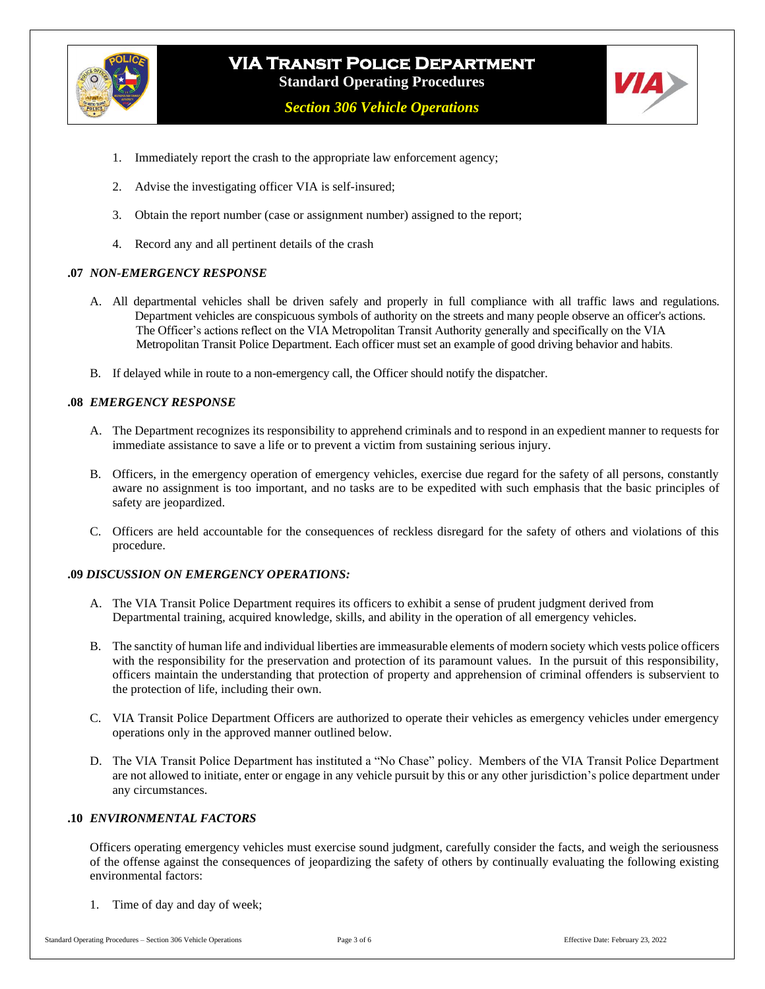

*Section 306 Vehicle Operations*

- 1. Immediately report the crash to the appropriate law enforcement agency;
- 2. Advise the investigating officer VIA is self-insured;
- 3. Obtain the report number (case or assignment number) assigned to the report;
- 4. Record any and all pertinent details of the crash

#### **.07** *NON-EMERGENCY RESPONSE*

- A. All departmental vehicles shall be driven safely and properly in full compliance with all traffic laws and regulations. Department vehicles are conspicuous symbols of authority on the streets and many people observe an officer's actions. The Officer's actions reflect on the VIA Metropolitan Transit Authority generally and specifically on the VIA Metropolitan Transit Police Department. Each officer must set an example of good driving behavior and habits.
- B. If delayed while in route to a non-emergency call, the Officer should notify the dispatcher.

#### **.08** *EMERGENCY RESPONSE*

- A. The Department recognizes its responsibility to apprehend criminals and to respond in an expedient manner to requests for immediate assistance to save a life or to prevent a victim from sustaining serious injury.
- B. Officers, in the emergency operation of emergency vehicles, exercise due regard for the safety of all persons, constantly aware no assignment is too important, and no tasks are to be expedited with such emphasis that the basic principles of safety are jeopardized.
- C. Officers are held accountable for the consequences of reckless disregard for the safety of others and violations of this procedure.

#### **.09** *DISCUSSION ON EMERGENCY OPERATIONS:*

- A. The VIA Transit Police Department requires its officers to exhibit a sense of prudent judgment derived from Departmental training, acquired knowledge, skills, and ability in the operation of all emergency vehicles.
- B. The sanctity of human life and individual liberties are immeasurable elements of modern society which vests police officers with the responsibility for the preservation and protection of its paramount values. In the pursuit of this responsibility, officers maintain the understanding that protection of property and apprehension of criminal offenders is subservient to the protection of life, including their own.
- C. VIA Transit Police Department Officers are authorized to operate their vehicles as emergency vehicles under emergency operations only in the approved manner outlined below.
- D. The VIA Transit Police Department has instituted a "No Chase" policy. Members of the VIA Transit Police Department are not allowed to initiate, enter or engage in any vehicle pursuit by this or any other jurisdiction's police department under any circumstances.

#### **.10** *ENVIRONMENTAL FACTORS*

Officers operating emergency vehicles must exercise sound judgment, carefully consider the facts, and weigh the seriousness of the offense against the consequences of jeopardizing the safety of others by continually evaluating the following existing environmental factors:

1. Time of day and day of week;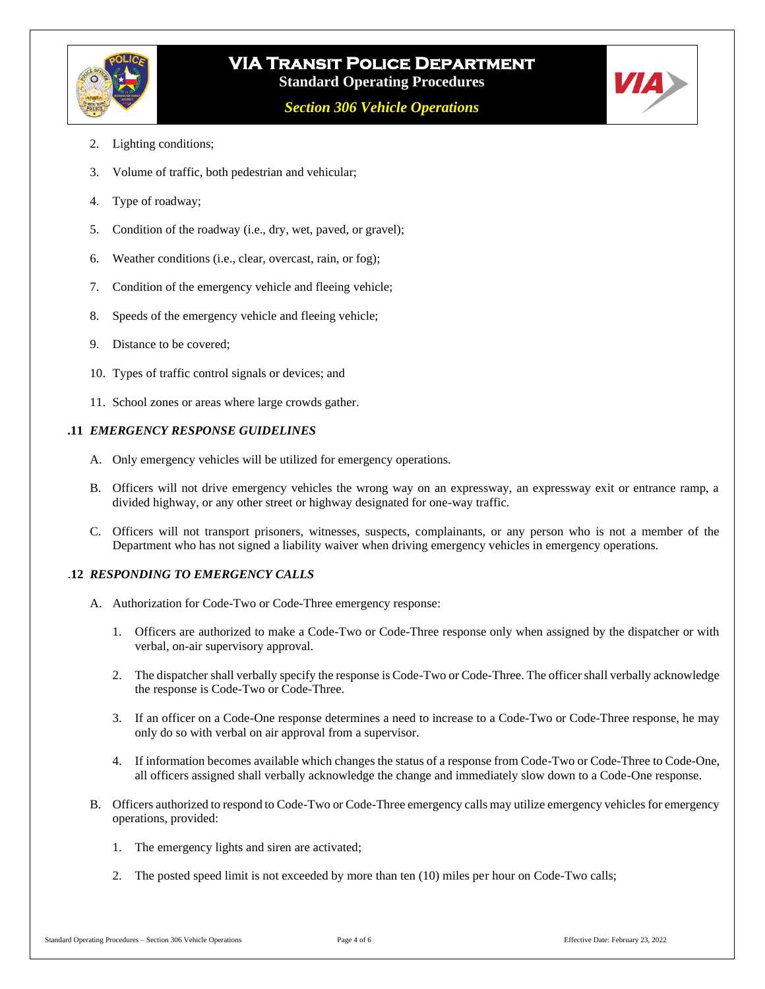

- 2. Lighting conditions;
- 3. Volume of traffic, both pedestrian and vehicular;
- 4. Type of roadway;
- 5. Condition of the roadway (i.e., dry, wet, paved, or gravel);
- 6. Weather conditions (i.e., clear, overcast, rain, or fog);
- 7. Condition of the emergency vehicle and fleeing vehicle;
- 8. Speeds of the emergency vehicle and fleeing vehicle;
- 9. Distance to be covered;
- 10. Types of traffic control signals or devices; and
- 11. School zones or areas where large crowds gather.

#### **.11** *EMERGENCY RESPONSE GUIDELINES*

- A. Only emergency vehicles will be utilized for emergency operations.
- B. Officers will not drive emergency vehicles the wrong way on an expressway, an expressway exit or entrance ramp, a divided highway, or any other street or highway designated for one-way traffic.
- C. Officers will not transport prisoners, witnesses, suspects, complainants, or any person who is not a member of the Department who has not signed a liability waiver when driving emergency vehicles in emergency operations.

#### .**12** *RESPONDING TO EMERGENCY CALLS*

- A. Authorization for Code-Two or Code-Three emergency response:
	- 1. Officers are authorized to make a Code-Two or Code-Three response only when assigned by the dispatcher or with verbal, on-air supervisory approval.
	- 2. The dispatcher shall verbally specify the response is Code-Two or Code-Three. The officer shall verbally acknowledge the response is Code-Two or Code-Three.
	- 3. If an officer on a Code-One response determines a need to increase to a Code-Two or Code-Three response, he may only do so with verbal on air approval from a supervisor.
	- 4. If information becomes available which changes the status of a response from Code-Two or Code-Three to Code-One, all officers assigned shall verbally acknowledge the change and immediately slow down to a Code-One response.
- B. Officers authorized to respond to Code-Two or Code-Three emergency calls may utilize emergency vehicles for emergency operations, provided:
	- 1. The emergency lights and siren are activated;
	- 2. The posted speed limit is not exceeded by more than ten (10) miles per hour on Code-Two calls;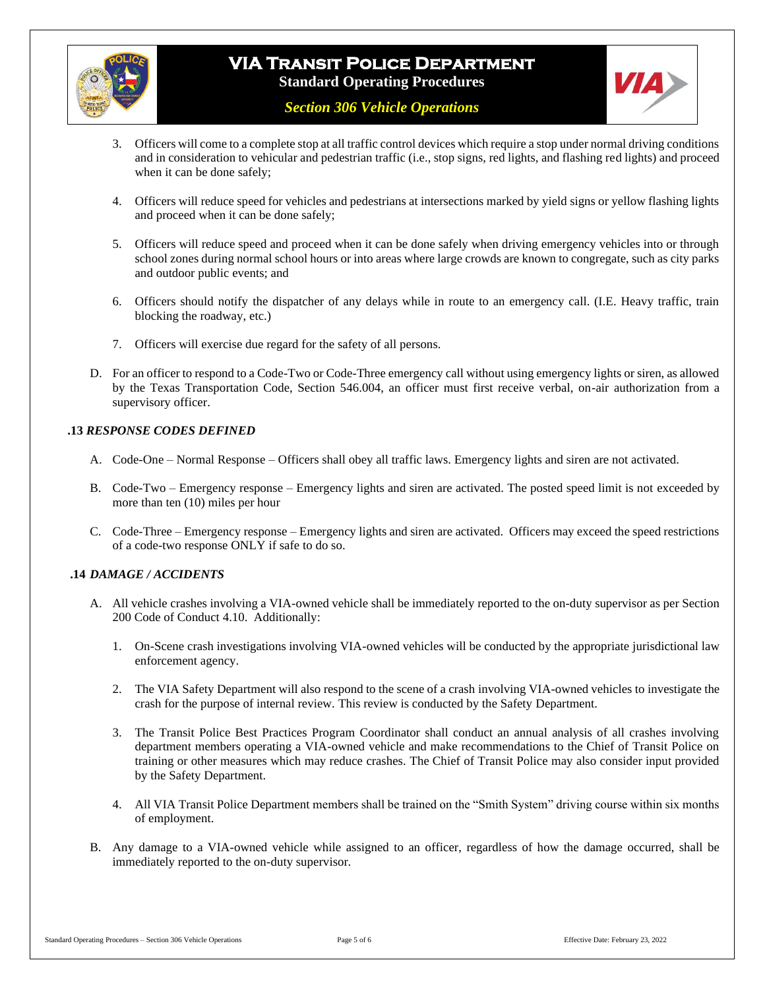

# **VIA Transit Police Department Standard Operating Procedures**



*Section 306 Vehicle Operations*

- 3. Officers will come to a complete stop at all traffic control devices which require a stop under normal driving conditions and in consideration to vehicular and pedestrian traffic (i.e., stop signs, red lights, and flashing red lights) and proceed when it can be done safely;
- 4. Officers will reduce speed for vehicles and pedestrians at intersections marked by yield signs or yellow flashing lights and proceed when it can be done safely;
- 5. Officers will reduce speed and proceed when it can be done safely when driving emergency vehicles into or through school zones during normal school hours or into areas where large crowds are known to congregate, such as city parks and outdoor public events; and
- 6. Officers should notify the dispatcher of any delays while in route to an emergency call. (I.E. Heavy traffic, train blocking the roadway, etc.)
- 7. Officers will exercise due regard for the safety of all persons.
- D. For an officer to respond to a Code-Two or Code-Three emergency call without using emergency lights or siren, as allowed by the Texas Transportation Code, Section 546.004, an officer must first receive verbal, on-air authorization from a supervisory officer.

#### **.13** *RESPONSE CODES DEFINED*

- A. Code-One Normal Response Officers shall obey all traffic laws. Emergency lights and siren are not activated.
- B. Code-Two Emergency response Emergency lights and siren are activated. The posted speed limit is not exceeded by more than ten (10) miles per hour
- C. Code-Three Emergency response Emergency lights and siren are activated. Officers may exceed the speed restrictions of a code-two response ONLY if safe to do so.

#### **.14** *DAMAGE / ACCIDENTS*

- A. All vehicle crashes involving a VIA-owned vehicle shall be immediately reported to the on-duty supervisor as per Section 200 Code of Conduct 4.10. Additionally:
	- 1. On-Scene crash investigations involving VIA-owned vehicles will be conducted by the appropriate jurisdictional law enforcement agency.
	- 2. The VIA Safety Department will also respond to the scene of a crash involving VIA-owned vehicles to investigate the crash for the purpose of internal review. This review is conducted by the Safety Department.
	- 3. The Transit Police Best Practices Program Coordinator shall conduct an annual analysis of all crashes involving department members operating a VIA-owned vehicle and make recommendations to the Chief of Transit Police on training or other measures which may reduce crashes. The Chief of Transit Police may also consider input provided by the Safety Department.
	- 4. All VIA Transit Police Department members shall be trained on the "Smith System" driving course within six months of employment.
- B. Any damage to a VIA-owned vehicle while assigned to an officer, regardless of how the damage occurred, shall be immediately reported to the on-duty supervisor.